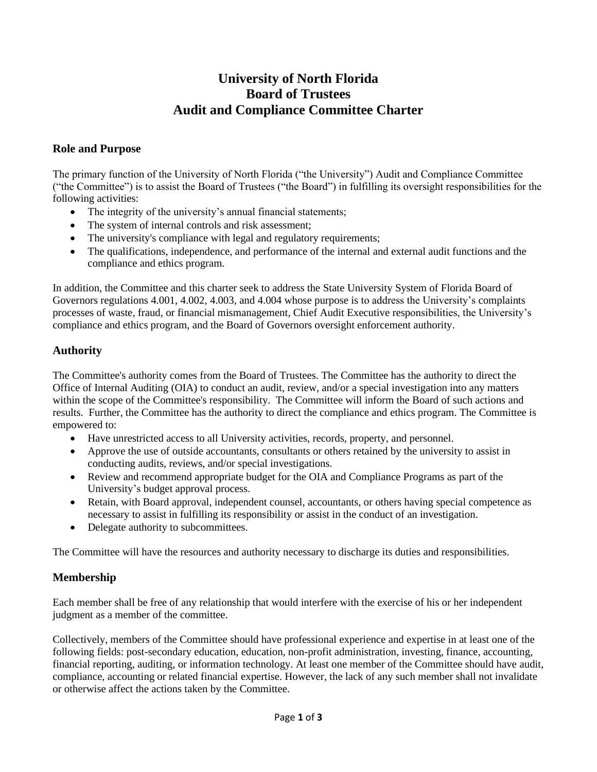# **University of North Florida Board of Trustees Audit and Compliance Committee Charter**

## **Role and Purpose**

The primary function of the University of North Florida ("the University") Audit and Compliance Committee ("the Committee") is to assist the Board of Trustees ("the Board") in fulfilling its oversight responsibilities for the following activities:

- The integrity of the university's annual financial statements;
- The system of internal controls and risk assessment;
- The university's compliance with legal and regulatory requirements;
- The qualifications, independence, and performance of the internal and external audit functions and the compliance and ethics program.

In addition, the Committee and this charter seek to address the State University System of Florida Board of Governors regulations 4.001, 4.002, 4.003, and 4.004 whose purpose is to address the University's complaints processes of waste, fraud, or financial mismanagement, Chief Audit Executive responsibilities, the University's compliance and ethics program, and the Board of Governors oversight enforcement authority.

# **Authority**

The Committee's authority comes from the Board of Trustees. The Committee has the authority to direct the Office of Internal Auditing (OIA) to conduct an audit, review, and/or a special investigation into any matters within the scope of the Committee's responsibility. The Committee will inform the Board of such actions and results. Further, the Committee has the authority to direct the compliance and ethics program. The Committee is empowered to:

- Have unrestricted access to all University activities, records, property, and personnel.
- Approve the use of outside accountants, consultants or others retained by the university to assist in conducting audits, reviews, and/or special investigations.
- Review and recommend appropriate budget for the OIA and Compliance Programs as part of the University's budget approval process.
- Retain, with Board approval, independent counsel, accountants, or others having special competence as necessary to assist in fulfilling its responsibility or assist in the conduct of an investigation.
- Delegate authority to subcommittees.

The Committee will have the resources and authority necessary to discharge its duties and responsibilities.

#### **Membership**

Each member shall be free of any relationship that would interfere with the exercise of his or her independent judgment as a member of the committee.

Collectively, members of the Committee should have professional experience and expertise in at least one of the following fields: post-secondary education, education, non-profit administration, investing, finance, accounting, financial reporting, auditing, or information technology. At least one member of the Committee should have audit, compliance, accounting or related financial expertise. However, the lack of any such member shall not invalidate or otherwise affect the actions taken by the Committee.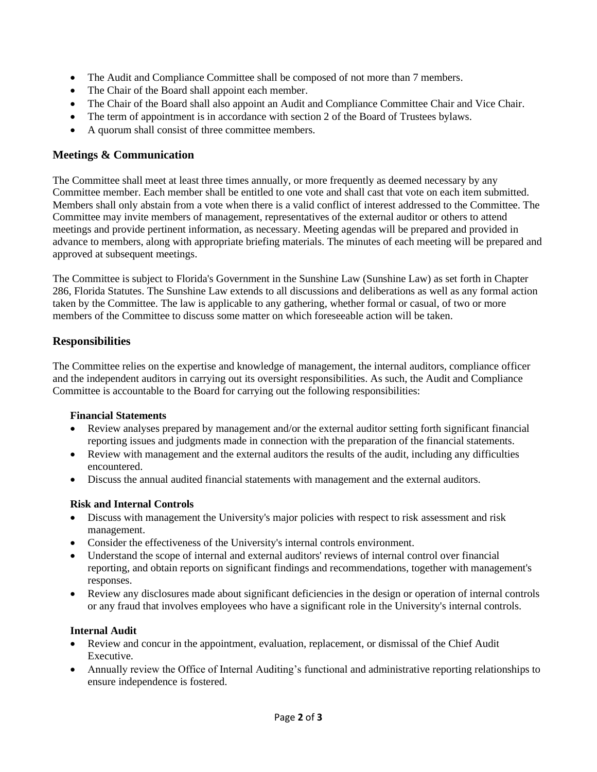- The Audit and Compliance Committee shall be composed of not more than 7 members.
- The Chair of the Board shall appoint each member.
- The Chair of the Board shall also appoint an Audit and Compliance Committee Chair and Vice Chair.
- The term of appointment is in accordance with section 2 of the Board of Trustees bylaws.
- A quorum shall consist of three committee members.

# **Meetings & Communication**

The Committee shall meet at least three times annually, or more frequently as deemed necessary by any Committee member. Each member shall be entitled to one vote and shall cast that vote on each item submitted. Members shall only abstain from a vote when there is a valid conflict of interest addressed to the Committee. The Committee may invite members of management, representatives of the external auditor or others to attend meetings and provide pertinent information, as necessary. Meeting agendas will be prepared and provided in advance to members, along with appropriate briefing materials. The minutes of each meeting will be prepared and approved at subsequent meetings.

The Committee is subject to Florida's Government in the Sunshine Law (Sunshine Law) as set forth in Chapter 286, Florida Statutes. The Sunshine Law extends to all discussions and deliberations as well as any formal action taken by the Committee. The law is applicable to any gathering, whether formal or casual, of two or more members of the Committee to discuss some matter on which foreseeable action will be taken.

# **Responsibilities**

The Committee relies on the expertise and knowledge of management, the internal auditors, compliance officer and the independent auditors in carrying out its oversight responsibilities. As such, the Audit and Compliance Committee is accountable to the Board for carrying out the following responsibilities:

#### **Financial Statements**

- Review analyses prepared by management and/or the external auditor setting forth significant financial reporting issues and judgments made in connection with the preparation of the financial statements.
- Review with management and the external auditors the results of the audit, including any difficulties encountered.
- Discuss the annual audited financial statements with management and the external auditors.

#### **Risk and Internal Controls**

- Discuss with management the University's major policies with respect to risk assessment and risk management.
- Consider the effectiveness of the University's internal controls environment.
- Understand the scope of internal and external auditors' reviews of internal control over financial reporting, and obtain reports on significant findings and recommendations, together with management's responses.
- Review any disclosures made about significant deficiencies in the design or operation of internal controls or any fraud that involves employees who have a significant role in the University's internal controls.

#### **Internal Audit**

- Review and concur in the appointment, evaluation, replacement, or dismissal of the Chief Audit Executive.
- Annually review the Office of Internal Auditing's functional and administrative reporting relationships to ensure independence is fostered.